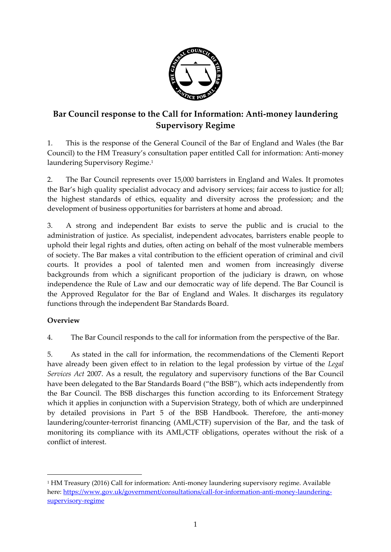

# **Bar Council response to the Call for Information: Anti-money laundering Supervisory Regime**

1. This is the response of the General Council of the Bar of England and Wales (the Bar Council) to the HM Treasury's consultation paper entitled Call for information: Anti-money laundering Supervisory Regime.<sup>1</sup>

2. The Bar Council represents over 15,000 barristers in England and Wales. It promotes the Bar's high quality specialist advocacy and advisory services; fair access to justice for all; the highest standards of ethics, equality and diversity across the profession; and the development of business opportunities for barristers at home and abroad.

3. A strong and independent Bar exists to serve the public and is crucial to the administration of justice. As specialist, independent advocates, barristers enable people to uphold their legal rights and duties, often acting on behalf of the most vulnerable members of society. The Bar makes a vital contribution to the efficient operation of criminal and civil courts. It provides a pool of talented men and women from increasingly diverse backgrounds from which a significant proportion of the judiciary is drawn, on whose independence the Rule of Law and our democratic way of life depend. The Bar Council is the Approved Regulator for the Bar of England and Wales. It discharges its regulatory functions through the independent Bar Standards Board.

# **Overview**

1

4. The Bar Council responds to the call for information from the perspective of the Bar.

5. As stated in the call for information, the recommendations of the Clementi Report have already been given effect to in relation to the legal profession by virtue of the *Legal Services Act* 2007. As a result, the regulatory and supervisory functions of the Bar Council have been delegated to the Bar Standards Board ("the BSB"), which acts independently from the Bar Council. The BSB discharges this function according to its Enforcement Strategy which it applies in conjunction with a Supervision Strategy, both of which are underpinned by detailed provisions in Part 5 of the BSB Handbook. Therefore, the anti-money laundering/counter-terrorist financing (AML/CTF) supervision of the Bar, and the task of monitoring its compliance with its AML/CTF obligations, operates without the risk of a conflict of interest.

<sup>1</sup> HM Treasury (2016) Call for information: Anti-money laundering supervisory regime. Available here: [https://www.gov.uk/government/consultations/call-for-information-anti-money-laundering](https://www.gov.uk/government/consultations/call-for-information-anti-money-laundering-supervisory-regime)[supervisory-regime](https://www.gov.uk/government/consultations/call-for-information-anti-money-laundering-supervisory-regime)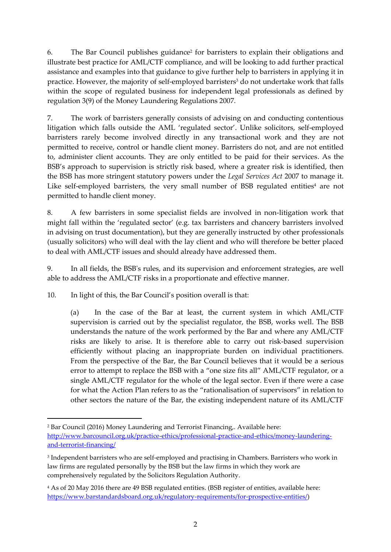6. The Bar Council publishes guidance<sup>2</sup> for barristers to explain their obligations and illustrate best practice for AML/CTF compliance, and will be looking to add further practical assistance and examples into that guidance to give further help to barristers in applying it in practice. However, the majority of self-employed barristers<sup>3</sup> do not undertake work that falls within the scope of regulated business for independent legal professionals as defined by regulation 3(9) of the Money Laundering Regulations 2007.

7. The work of barristers generally consists of advising on and conducting contentious litigation which falls outside the AML 'regulated sector'. Unlike solicitors, self-employed barristers rarely become involved directly in any transactional work and they are not permitted to receive, control or handle client money. Barristers do not, and are not entitled to, administer client accounts. They are only entitled to be paid for their services. As the BSB's approach to supervision is strictly risk based, where a greater risk is identified, then the BSB has more stringent statutory powers under the *Legal Services Act* 2007 to manage it. Like self-employed barristers, the very small number of BSB regulated entities<sup>4</sup> are not permitted to handle client money.

8. A few barristers in some specialist fields are involved in non-litigation work that might fall within the 'regulated sector' (e.g. tax barristers and chancery barristers involved in advising on trust documentation), but they are generally instructed by other professionals (usually solicitors) who will deal with the lay client and who will therefore be better placed to deal with AML/CTF issues and should already have addressed them.

9. In all fields, the BSB's rules, and its supervision and enforcement strategies, are well able to address the AML/CTF risks in a proportionate and effective manner.

10. In light of this, the Bar Council's position overall is that:

<u>.</u>

(a) In the case of the Bar at least, the current system in which AML/CTF supervision is carried out by the specialist regulator, the BSB, works well. The BSB understands the nature of the work performed by the Bar and where any AML/CTF risks are likely to arise. It is therefore able to carry out risk-based supervision efficiently without placing an inappropriate burden on individual practitioners. From the perspective of the Bar, the Bar Council believes that it would be a serious error to attempt to replace the BSB with a "one size fits all" AML/CTF regulator, or a single AML/CTF regulator for the whole of the legal sector. Even if there were a case for what the Action Plan refers to as the "rationalisation of supervisors" in relation to other sectors the nature of the Bar, the existing independent nature of its AML/CTF

<sup>2</sup> Bar Council (2016) Money Laundering and Terrorist Financing,. Available here: [http://www.barcouncil.org.uk/practice-ethics/professional-practice-and-ethics/money-laundering](http://www.barcouncil.org.uk/practice-ethics/professional-practice-and-ethics/money-laundering-and-terrorist-financing/)[and-terrorist-financing/](http://www.barcouncil.org.uk/practice-ethics/professional-practice-and-ethics/money-laundering-and-terrorist-financing/)

<sup>3</sup> Independent barristers who are self-employed and practising in Chambers. Barristers who work in law firms are regulated personally by the BSB but the law firms in which they work are comprehensively regulated by the Solicitors Regulation Authority.

<sup>4</sup> As of 20 May 2016 there are 49 BSB regulated entities. (BSB register of entities, available here: [https://www.barstandardsboard.org.uk/regulatory-requirements/for-prospective-entities/\)](https://www.barstandardsboard.org.uk/regulatory-requirements/for-prospective-entities/)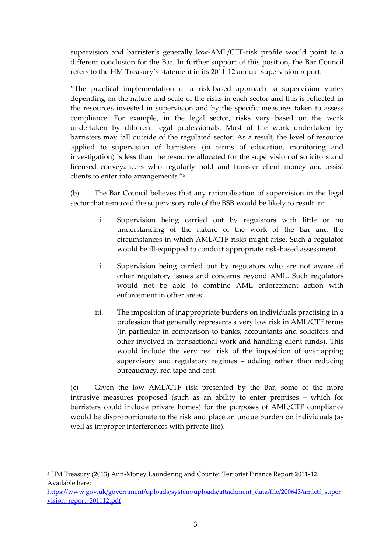supervision and barrister's generally low-AML/CTF-risk profile would point to a different conclusion for the Bar. In further support of this position, the Bar Council refers to the HM Treasury's statement in its 2011-12 annual supervision report:

"The practical implementation of a risk-based approach to supervision varies depending on the nature and scale of the risks in each sector and this is reflected in the resources invested in supervision and by the specific measures taken to assess compliance. For example, in the legal sector, risks vary based on the work undertaken by different legal professionals. Most of the work undertaken by barristers may fall outside of the regulated sector. As a result, the level of resource applied to supervision of barristers (in terms of education, monitoring and investigation) is less than the resource allocated for the supervision of solicitors and licensed conveyancers who regularly hold and transfer client money and assist clients to enter into arrangements."<sup>5</sup>

(b) The Bar Council believes that any rationalisation of supervision in the legal sector that removed the supervisory role of the BSB would be likely to result in:

- i. Supervision being carried out by regulators with little or no understanding of the nature of the work of the Bar and the circumstances in which AML/CTF risks might arise. Such a regulator would be ill-equipped to conduct appropriate risk-based assessment.
- ii. Supervision being carried out by regulators who are not aware of other regulatory issues and concerns beyond AML. Such regulators would not be able to combine AML enforcement action with enforcement in other areas.
- iii. The imposition of inappropriate burdens on individuals practising in a profession that generally represents a very low risk in AML/CTF terms (in particular in comparison to banks, accountants and solicitors and other involved in transactional work and handling client funds). This would include the very real risk of the imposition of overlapping supervisory and regulatory regimes – adding rather than reducing bureaucracy, red tape and cost.

(c) Given the low AML/CTF risk presented by the Bar, some of the more intrusive measures proposed (such as an ability to enter premises – which for barristers could include private homes) for the purposes of AML/CTF compliance would be disproportionate to the risk and place an undue burden on individuals (as well as improper interferences with private life).

1

<sup>5</sup> HM Treasury (2013) Anti-Money Laundering and Counter Terrorist Finance Report 2011-12. Available here:

[https://www.gov.uk/government/uploads/system/uploads/attachment\\_data/file/200643/amlctf\\_super](https://www.gov.uk/government/uploads/system/uploads/attachment_data/file/200643/amlctf_supervision_report_201112.pdf) [vision\\_report\\_201112.pdf](https://www.gov.uk/government/uploads/system/uploads/attachment_data/file/200643/amlctf_supervision_report_201112.pdf)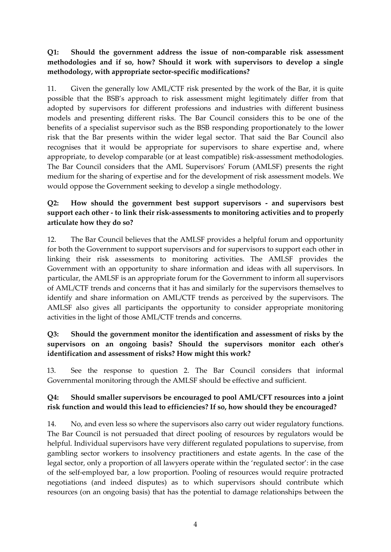# **Q1: Should the government address the issue of non-comparable risk assessment methodologies and if so, how? Should it work with supervisors to develop a single methodology, with appropriate sector-specific modifications?**

11. Given the generally low AML/CTF risk presented by the work of the Bar, it is quite possible that the BSB's approach to risk assessment might legitimately differ from that adopted by supervisors for different professions and industries with different business models and presenting different risks. The Bar Council considers this to be one of the benefits of a specialist supervisor such as the BSB responding proportionately to the lower risk that the Bar presents within the wider legal sector. That said the Bar Council also recognises that it would be appropriate for supervisors to share expertise and, where appropriate, to develop comparable (or at least compatible) risk-assessment methodologies. The Bar Council considers that the AML Supervisors' Forum (AMLSF) presents the right medium for the sharing of expertise and for the development of risk assessment models. We would oppose the Government seeking to develop a single methodology.

# **Q2: How should the government best support supervisors - and supervisors best support each other - to link their risk-assessments to monitoring activities and to properly articulate how they do so?**

12. The Bar Council believes that the AMLSF provides a helpful forum and opportunity for both the Government to support supervisors and for supervisors to support each other in linking their risk assessments to monitoring activities. The AMLSF provides the Government with an opportunity to share information and ideas with all supervisors. In particular, the AMLSF is an appropriate forum for the Government to inform all supervisors of AML/CTF trends and concerns that it has and similarly for the supervisors themselves to identify and share information on AML/CTF trends as perceived by the supervisors. The AMLSF also gives all participants the opportunity to consider appropriate monitoring activities in the light of those AML/CTF trends and concerns.

#### **Q3: Should the government monitor the identification and assessment of risks by the supervisors on an ongoing basis? Should the supervisors monitor each other's identification and assessment of risks? How might this work?**

13. See the response to question 2. The Bar Council considers that informal Governmental monitoring through the AMLSF should be effective and sufficient.

# **Q4: Should smaller supervisors be encouraged to pool AML/CFT resources into a joint risk function and would this lead to efficiencies? If so, how should they be encouraged?**

14. No, and even less so where the supervisors also carry out wider regulatory functions. The Bar Council is not persuaded that direct pooling of resources by regulators would be helpful. Individual supervisors have very different regulated populations to supervise, from gambling sector workers to insolvency practitioners and estate agents. In the case of the legal sector, only a proportion of all lawyers operate within the 'regulated sector': in the case of the self-employed bar, a low proportion. Pooling of resources would require protracted negotiations (and indeed disputes) as to which supervisors should contribute which resources (on an ongoing basis) that has the potential to damage relationships between the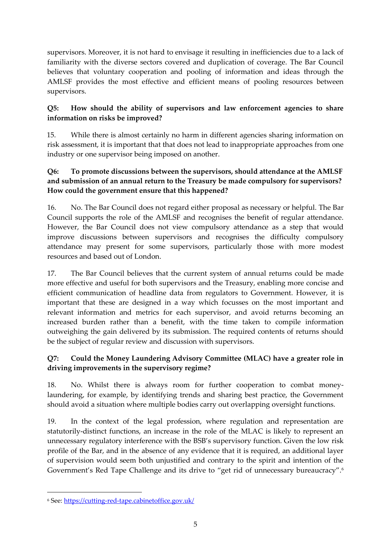supervisors. Moreover, it is not hard to envisage it resulting in inefficiencies due to a lack of familiarity with the diverse sectors covered and duplication of coverage. The Bar Council believes that voluntary cooperation and pooling of information and ideas through the AMLSF provides the most effective and efficient means of pooling resources between supervisors.

# **Q5: How should the ability of supervisors and law enforcement agencies to share information on risks be improved?**

15. While there is almost certainly no harm in different agencies sharing information on risk assessment, it is important that that does not lead to inappropriate approaches from one industry or one supervisor being imposed on another.

# **Q6: To promote discussions between the supervisors, should attendance at the AMLSF and submission of an annual return to the Treasury be made compulsory for supervisors? How could the government ensure that this happened?**

16. No. The Bar Council does not regard either proposal as necessary or helpful. The Bar Council supports the role of the AMLSF and recognises the benefit of regular attendance. However, the Bar Council does not view compulsory attendance as a step that would improve discussions between supervisors and recognises the difficulty compulsory attendance may present for some supervisors, particularly those with more modest resources and based out of London.

17. The Bar Council believes that the current system of annual returns could be made more effective and useful for both supervisors and the Treasury, enabling more concise and efficient communication of headline data from regulators to Government. However, it is important that these are designed in a way which focusses on the most important and relevant information and metrics for each supervisor, and avoid returns becoming an increased burden rather than a benefit, with the time taken to compile information outweighing the gain delivered by its submission. The required contents of returns should be the subject of regular review and discussion with supervisors.

# **Q7: Could the Money Laundering Advisory Committee (MLAC) have a greater role in driving improvements in the supervisory regime?**

18. No. Whilst there is always room for further cooperation to combat moneylaundering, for example, by identifying trends and sharing best practice, the Government should avoid a situation where multiple bodies carry out overlapping oversight functions.

19. In the context of the legal profession, where regulation and representation are statutorily-distinct functions, an increase in the role of the MLAC is likely to represent an unnecessary regulatory interference with the BSB's supervisory function. Given the low risk profile of the Bar, and in the absence of any evidence that it is required, an additional layer of supervision would seem both unjustified and contrary to the spirit and intention of the Government's Red Tape Challenge and its drive to "get rid of unnecessary bureaucracy".<sup>6</sup>

<u>.</u>

<sup>6</sup> See:<https://cutting-red-tape.cabinetoffice.gov.uk/>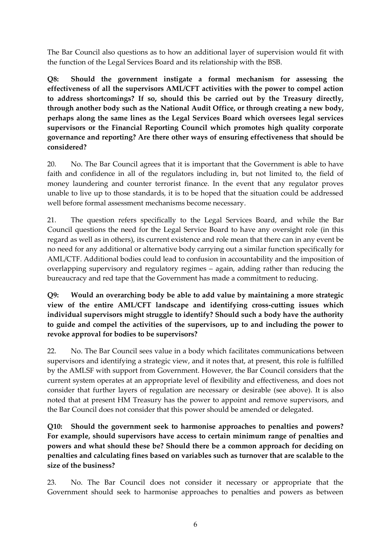The Bar Council also questions as to how an additional layer of supervision would fit with the function of the Legal Services Board and its relationship with the BSB.

**Q8: Should the government instigate a formal mechanism for assessing the effectiveness of all the supervisors AML/CFT activities with the power to compel action to address shortcomings? If so, should this be carried out by the Treasury directly, through another body such as the National Audit Office, or through creating a new body, perhaps along the same lines as the Legal Services Board which oversees legal services supervisors or the Financial Reporting Council which promotes high quality corporate governance and reporting? Are there other ways of ensuring effectiveness that should be considered?**

20. No. The Bar Council agrees that it is important that the Government is able to have faith and confidence in all of the regulators including in, but not limited to, the field of money laundering and counter terrorist finance. In the event that any regulator proves unable to live up to those standards, it is to be hoped that the situation could be addressed well before formal assessment mechanisms become necessary.

21. The question refers specifically to the Legal Services Board, and while the Bar Council questions the need for the Legal Service Board to have any oversight role (in this regard as well as in others), its current existence and role mean that there can in any event be no need for any additional or alternative body carrying out a similar function specifically for AML/CTF. Additional bodies could lead to confusion in accountability and the imposition of overlapping supervisory and regulatory regimes – again, adding rather than reducing the bureaucracy and red tape that the Government has made a commitment to reducing.

**Q9: Would an overarching body be able to add value by maintaining a more strategic view of the entire AML/CFT landscape and identifying cross-cutting issues which individual supervisors might struggle to identify? Should such a body have the authority to guide and compel the activities of the supervisors, up to and including the power to revoke approval for bodies to be supervisors?**

22. No. The Bar Council sees value in a body which facilitates communications between supervisors and identifying a strategic view, and it notes that, at present, this role is fulfilled by the AMLSF with support from Government. However, the Bar Council considers that the current system operates at an appropriate level of flexibility and effectiveness, and does not consider that further layers of regulation are necessary or desirable (see above). It is also noted that at present HM Treasury has the power to appoint and remove supervisors, and the Bar Council does not consider that this power should be amended or delegated.

**Q10: Should the government seek to harmonise approaches to penalties and powers? For example, should supervisors have access to certain minimum range of penalties and powers and what should these be? Should there be a common approach for deciding on penalties and calculating fines based on variables such as turnover that are scalable to the size of the business?**

23. No. The Bar Council does not consider it necessary or appropriate that the Government should seek to harmonise approaches to penalties and powers as between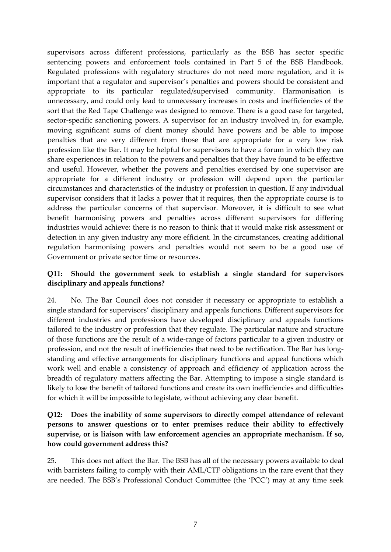supervisors across different professions, particularly as the BSB has sector specific sentencing powers and enforcement tools contained in Part 5 of the BSB Handbook. Regulated professions with regulatory structures do not need more regulation, and it is important that a regulator and supervisor's penalties and powers should be consistent and appropriate to its particular regulated/supervised community. Harmonisation is unnecessary, and could only lead to unnecessary increases in costs and inefficiencies of the sort that the Red Tape Challenge was designed to remove. There is a good case for targeted, sector-specific sanctioning powers. A supervisor for an industry involved in, for example, moving significant sums of client money should have powers and be able to impose penalties that are very different from those that are appropriate for a very low risk profession like the Bar. It may be helpful for supervisors to have a forum in which they can share experiences in relation to the powers and penalties that they have found to be effective and useful. However, whether the powers and penalties exercised by one supervisor are appropriate for a different industry or profession will depend upon the particular circumstances and characteristics of the industry or profession in question. If any individual supervisor considers that it lacks a power that it requires, then the appropriate course is to address the particular concerns of that supervisor. Moreover, it is difficult to see what benefit harmonising powers and penalties across different supervisors for differing industries would achieve: there is no reason to think that it would make risk assessment or detection in any given industry any more efficient. In the circumstances, creating additional regulation harmonising powers and penalties would not seem to be a good use of Government or private sector time or resources.

#### **Q11: Should the government seek to establish a single standard for supervisors disciplinary and appeals functions?**

24. No. The Bar Council does not consider it necessary or appropriate to establish a single standard for supervisors' disciplinary and appeals functions. Different supervisors for different industries and professions have developed disciplinary and appeals functions tailored to the industry or profession that they regulate. The particular nature and structure of those functions are the result of a wide-range of factors particular to a given industry or profession, and not the result of inefficiencies that need to be rectification. The Bar has longstanding and effective arrangements for disciplinary functions and appeal functions which work well and enable a consistency of approach and efficiency of application across the breadth of regulatory matters affecting the Bar. Attempting to impose a single standard is likely to lose the benefit of tailored functions and create its own inefficiencies and difficulties for which it will be impossible to legislate, without achieving any clear benefit.

#### **Q12: Does the inability of some supervisors to directly compel attendance of relevant persons to answer questions or to enter premises reduce their ability to effectively supervise, or is liaison with law enforcement agencies an appropriate mechanism. If so, how could government address this?**

25. This does not affect the Bar. The BSB has all of the necessary powers available to deal with barristers failing to comply with their AML/CTF obligations in the rare event that they are needed. The BSB's Professional Conduct Committee (the 'PCC') may at any time seek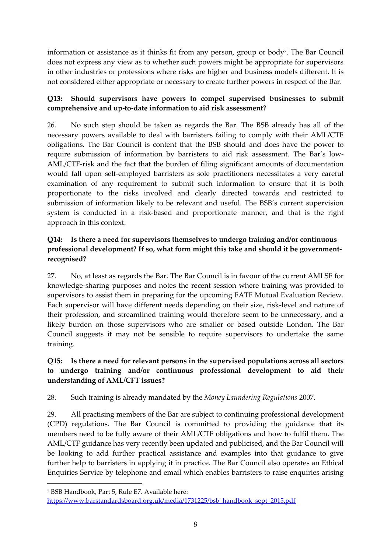information or assistance as it thinks fit from any person, group or body<sup>7</sup> . The Bar Council does not express any view as to whether such powers might be appropriate for supervisors in other industries or professions where risks are higher and business models different. It is not considered either appropriate or necessary to create further powers in respect of the Bar.

# **Q13: Should supervisors have powers to compel supervised businesses to submit comprehensive and up-to-date information to aid risk assessment?**

26. No such step should be taken as regards the Bar. The BSB already has all of the necessary powers available to deal with barristers failing to comply with their AML/CTF obligations. The Bar Council is content that the BSB should and does have the power to require submission of information by barristers to aid risk assessment. The Bar's low-AML/CTF-risk and the fact that the burden of filing significant amounts of documentation would fall upon self-employed barristers as sole practitioners necessitates a very careful examination of any requirement to submit such information to ensure that it is both proportionate to the risks involved and clearly directed towards and restricted to submission of information likely to be relevant and useful. The BSB's current supervision system is conducted in a risk-based and proportionate manner, and that is the right approach in this context.

# **Q14: Is there a need for supervisors themselves to undergo training and/or continuous professional development? If so, what form might this take and should it be governmentrecognised?**

27. No, at least as regards the Bar. The Bar Council is in favour of the current AMLSF for knowledge-sharing purposes and notes the recent session where training was provided to supervisors to assist them in preparing for the upcoming FATF Mutual Evaluation Review. Each supervisor will have different needs depending on their size, risk-level and nature of their profession, and streamlined training would therefore seem to be unnecessary, and a likely burden on those supervisors who are smaller or based outside London. The Bar Council suggests it may not be sensible to require supervisors to undertake the same training.

# **Q15: Is there a need for relevant persons in the supervised populations across all sectors to undergo training and/or continuous professional development to aid their understanding of AML/CFT issues?**

28. Such training is already mandated by the *Money Laundering Regulations* 2007.

29. All practising members of the Bar are subject to continuing professional development (CPD) regulations. The Bar Council is committed to providing the guidance that its members need to be fully aware of their AML/CTF obligations and how to fulfil them. The AML/CTF guidance has very recently been updated and publicised, and the Bar Council will be looking to add further practical assistance and examples into that guidance to give further help to barristers in applying it in practice. The Bar Council also operates an Ethical Enquiries Service by telephone and email which enables barristers to raise enquiries arising

1

<sup>7</sup> BSB Handbook, Part 5, Rule E7. Available here:

[https://www.barstandardsboard.org.uk/media/1731225/bsb\\_handbook\\_sept\\_2015.pdf](https://www.barstandardsboard.org.uk/media/1731225/bsb_handbook_sept_2015.pdf)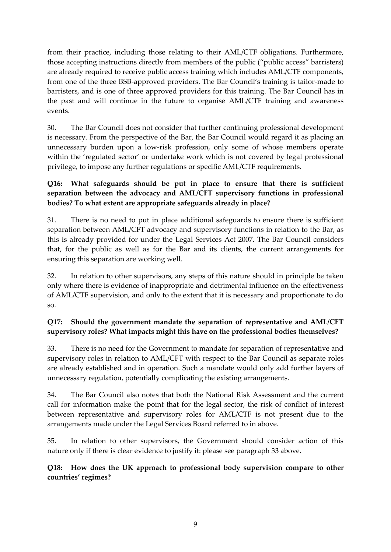from their practice, including those relating to their AML/CTF obligations. Furthermore, those accepting instructions directly from members of the public ("public access" barristers) are already required to receive public access training which includes AML/CTF components, from one of the three BSB-approved providers. The Bar Council's training is tailor-made to barristers, and is one of three approved providers for this training. The Bar Council has in the past and will continue in the future to organise AML/CTF training and awareness events.

30. The Bar Council does not consider that further continuing professional development is necessary. From the perspective of the Bar, the Bar Council would regard it as placing an unnecessary burden upon a low-risk profession, only some of whose members operate within the 'regulated sector' or undertake work which is not covered by legal professional privilege, to impose any further regulations or specific AML/CTF requirements.

# **Q16: What safeguards should be put in place to ensure that there is sufficient separation between the advocacy and AML/CFT supervisory functions in professional bodies? To what extent are appropriate safeguards already in place?**

31. There is no need to put in place additional safeguards to ensure there is sufficient separation between AML/CFT advocacy and supervisory functions in relation to the Bar, as this is already provided for under the Legal Services Act 2007. The Bar Council considers that, for the public as well as for the Bar and its clients, the current arrangements for ensuring this separation are working well.

32. In relation to other supervisors, any steps of this nature should in principle be taken only where there is evidence of inappropriate and detrimental influence on the effectiveness of AML/CTF supervision, and only to the extent that it is necessary and proportionate to do so.

# **Q17: Should the government mandate the separation of representative and AML/CFT supervisory roles? What impacts might this have on the professional bodies themselves?**

33. There is no need for the Government to mandate for separation of representative and supervisory roles in relation to AML/CFT with respect to the Bar Council as separate roles are already established and in operation. Such a mandate would only add further layers of unnecessary regulation, potentially complicating the existing arrangements.

34. The Bar Council also notes that both the National Risk Assessment and the current call for information make the point that for the legal sector, the risk of conflict of interest between representative and supervisory roles for AML/CTF is not present due to the arrangements made under the Legal Services Board referred to in above.

35. In relation to other supervisors, the Government should consider action of this nature only if there is clear evidence to justify it: please see paragraph 33 above.

# **Q18: How does the UK approach to professional body supervision compare to other countries' regimes?**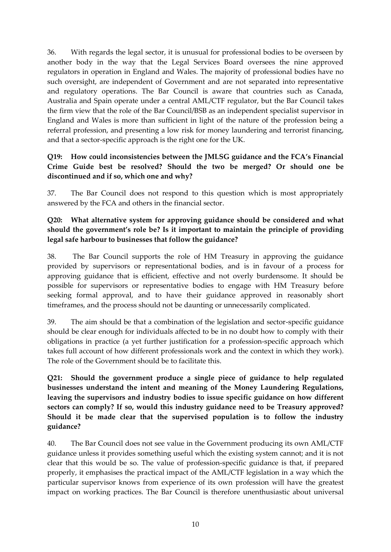36. With regards the legal sector, it is unusual for professional bodies to be overseen by another body in the way that the Legal Services Board oversees the nine approved regulators in operation in England and Wales. The majority of professional bodies have no such oversight, are independent of Government and are not separated into representative and regulatory operations. The Bar Council is aware that countries such as Canada, Australia and Spain operate under a central AML/CTF regulator, but the Bar Council takes the firm view that the role of the Bar Council/BSB as an independent specialist supervisor in England and Wales is more than sufficient in light of the nature of the profession being a referral profession, and presenting a low risk for money laundering and terrorist financing, and that a sector-specific approach is the right one for the UK.

#### **Q19: How could inconsistencies between the JMLSG guidance and the FCA's Financial Crime Guide best be resolved? Should the two be merged? Or should one be discontinued and if so, which one and why?**

37. The Bar Council does not respond to this question which is most appropriately answered by the FCA and others in the financial sector.

#### **Q20: What alternative system for approving guidance should be considered and what should the government's role be? Is it important to maintain the principle of providing legal safe harbour to businesses that follow the guidance?**

38. The Bar Council supports the role of HM Treasury in approving the guidance provided by supervisors or representational bodies, and is in favour of a process for approving guidance that is efficient, effective and not overly burdensome. It should be possible for supervisors or representative bodies to engage with HM Treasury before seeking formal approval, and to have their guidance approved in reasonably short timeframes, and the process should not be daunting or unnecessarily complicated.

39. The aim should be that a combination of the legislation and sector-specific guidance should be clear enough for individuals affected to be in no doubt how to comply with their obligations in practice (a yet further justification for a profession-specific approach which takes full account of how different professionals work and the context in which they work). The role of the Government should be to facilitate this.

**Q21: Should the government produce a single piece of guidance to help regulated businesses understand the intent and meaning of the Money Laundering Regulations, leaving the supervisors and industry bodies to issue specific guidance on how different sectors can comply? If so, would this industry guidance need to be Treasury approved? Should it be made clear that the supervised population is to follow the industry guidance?**

40. The Bar Council does not see value in the Government producing its own AML/CTF guidance unless it provides something useful which the existing system cannot; and it is not clear that this would be so. The value of profession-specific guidance is that, if prepared properly, it emphasises the practical impact of the AML/CTF legislation in a way which the particular supervisor knows from experience of its own profession will have the greatest impact on working practices. The Bar Council is therefore unenthusiastic about universal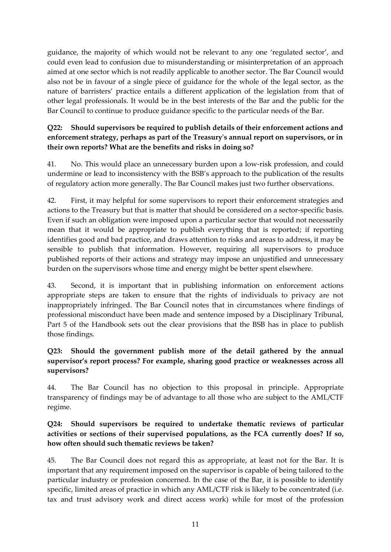guidance, the majority of which would not be relevant to any one 'regulated sector', and could even lead to confusion due to misunderstanding or misinterpretation of an approach aimed at one sector which is not readily applicable to another sector. The Bar Council would also not be in favour of a single piece of guidance for the whole of the legal sector, as the nature of barristers' practice entails a different application of the legislation from that of other legal professionals. It would be in the best interests of the Bar and the public for the Bar Council to continue to produce guidance specific to the particular needs of the Bar.

#### **Q22: Should supervisors be required to publish details of their enforcement actions and enforcement strategy, perhaps as part of the Treasury's annual report on supervisors, or in their own reports? What are the benefits and risks in doing so?**

41. No. This would place an unnecessary burden upon a low-risk profession, and could undermine or lead to inconsistency with the BSB's approach to the publication of the results of regulatory action more generally. The Bar Council makes just two further observations.

42. First, it may helpful for some supervisors to report their enforcement strategies and actions to the Treasury but that is matter that should be considered on a sector-specific basis. Even if such an obligation were imposed upon a particular sector that would not necessarily mean that it would be appropriate to publish everything that is reported; if reporting identifies good and bad practice, and draws attention to risks and areas to address, it may be sensible to publish that information. However, requiring all supervisors to produce published reports of their actions and strategy may impose an unjustified and unnecessary burden on the supervisors whose time and energy might be better spent elsewhere.

43. Second, it is important that in publishing information on enforcement actions appropriate steps are taken to ensure that the rights of individuals to privacy are not inappropriately infringed. The Bar Council notes that in circumstances where findings of professional misconduct have been made and sentence imposed by a Disciplinary Tribunal, Part 5 of the Handbook sets out the clear provisions that the BSB has in place to publish those findings.

#### **Q23: Should the government publish more of the detail gathered by the annual supervisor's report process? For example, sharing good practice or weaknesses across all supervisors?**

44. The Bar Council has no objection to this proposal in principle. Appropriate transparency of findings may be of advantage to all those who are subject to the AML/CTF regime.

#### **Q24: Should supervisors be required to undertake thematic reviews of particular activities or sections of their supervised populations, as the FCA currently does? If so, how often should such thematic reviews be taken?**

45. The Bar Council does not regard this as appropriate, at least not for the Bar. It is important that any requirement imposed on the supervisor is capable of being tailored to the particular industry or profession concerned. In the case of the Bar, it is possible to identify specific, limited areas of practice in which any AML/CTF risk is likely to be concentrated (i.e. tax and trust advisory work and direct access work) while for most of the profession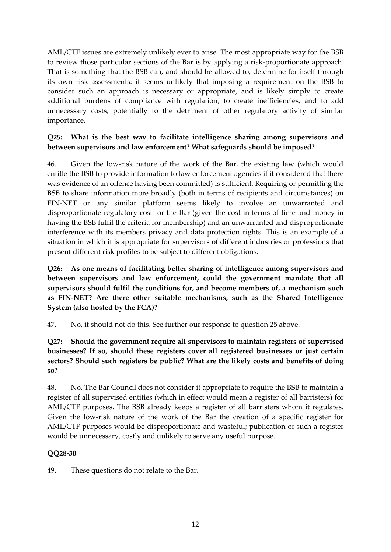AML/CTF issues are extremely unlikely ever to arise. The most appropriate way for the BSB to review those particular sections of the Bar is by applying a risk-proportionate approach. That is something that the BSB can, and should be allowed to, determine for itself through its own risk assessments: it seems unlikely that imposing a requirement on the BSB to consider such an approach is necessary or appropriate, and is likely simply to create additional burdens of compliance with regulation, to create inefficiencies, and to add unnecessary costs, potentially to the detriment of other regulatory activity of similar importance.

#### **Q25: What is the best way to facilitate intelligence sharing among supervisors and between supervisors and law enforcement? What safeguards should be imposed?**

46. Given the low-risk nature of the work of the Bar, the existing law (which would entitle the BSB to provide information to law enforcement agencies if it considered that there was evidence of an offence having been committed) is sufficient. Requiring or permitting the BSB to share information more broadly (both in terms of recipients and circumstances) on FIN-NET or any similar platform seems likely to involve an unwarranted and disproportionate regulatory cost for the Bar (given the cost in terms of time and money in having the BSB fulfil the criteria for membership) and an unwarranted and disproportionate interference with its members privacy and data protection rights. This is an example of a situation in which it is appropriate for supervisors of different industries or professions that present different risk profiles to be subject to different obligations.

**Q26: As one means of facilitating better sharing of intelligence among supervisors and between supervisors and law enforcement, could the government mandate that all supervisors should fulfil the conditions for, and become members of, a mechanism such as FIN-NET? Are there other suitable mechanisms, such as the Shared Intelligence System (also hosted by the FCA)?**

47. No, it should not do this. See further our response to question 25 above.

**Q27: Should the government require all supervisors to maintain registers of supervised businesses? If so, should these registers cover all registered businesses or just certain sectors? Should such registers be public? What are the likely costs and benefits of doing so?**

48. No. The Bar Council does not consider it appropriate to require the BSB to maintain a register of all supervised entities (which in effect would mean a register of all barristers) for AML/CTF purposes. The BSB already keeps a register of all barristers whom it regulates. Given the low-risk nature of the work of the Bar the creation of a specific register for AML/CTF purposes would be disproportionate and wasteful; publication of such a register would be unnecessary, costly and unlikely to serve any useful purpose.

# **QQ28-30**

49. These questions do not relate to the Bar.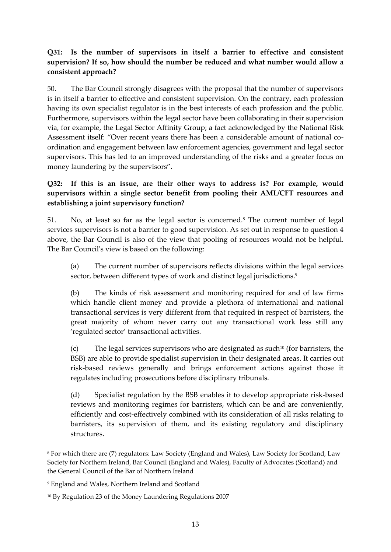# **Q31: Is the number of supervisors in itself a barrier to effective and consistent supervision? If so, how should the number be reduced and what number would allow a consistent approach?**

50. The Bar Council strongly disagrees with the proposal that the number of supervisors is in itself a barrier to effective and consistent supervision. On the contrary, each profession having its own specialist regulator is in the best interests of each profession and the public. Furthermore, supervisors within the legal sector have been collaborating in their supervision via, for example, the Legal Sector Affinity Group; a fact acknowledged by the National Risk Assessment itself: "Over recent years there has been a considerable amount of national coordination and engagement between law enforcement agencies, government and legal sector supervisors. This has led to an improved understanding of the risks and a greater focus on money laundering by the supervisors".

# **Q32: If this is an issue, are their other ways to address is? For example, would supervisors within a single sector benefit from pooling their AML/CFT resources and establishing a joint supervisory function?**

51. No, at least so far as the legal sector is concerned.<sup>8</sup> The current number of legal services supervisors is not a barrier to good supervision. As set out in response to question 4 above, the Bar Council is also of the view that pooling of resources would not be helpful. The Bar Council's view is based on the following:

(a) The current number of supervisors reflects divisions within the legal services sector, between different types of work and distinct legal jurisdictions.<sup>9</sup>

(b) The kinds of risk assessment and monitoring required for and of law firms which handle client money and provide a plethora of international and national transactional services is very different from that required in respect of barristers, the great majority of whom never carry out any transactional work less still any 'regulated sector' transactional activities.

(c) The legal services supervisors who are designated as such<sup>10</sup> (for barristers, the BSB) are able to provide specialist supervision in their designated areas. It carries out risk-based reviews generally and brings enforcement actions against those it regulates including prosecutions before disciplinary tribunals.

(d) Specialist regulation by the BSB enables it to develop appropriate risk-based reviews and monitoring regimes for barristers, which can be and are conveniently, efficiently and cost-effectively combined with its consideration of all risks relating to barristers, its supervision of them, and its existing regulatory and disciplinary structures.

1

<sup>8</sup> For which there are (7) regulators: Law Society (England and Wales), Law Society for Scotland, Law Society for Northern Ireland, Bar Council (England and Wales), Faculty of Advocates (Scotland) and the General Council of the Bar of Northern Ireland

<sup>9</sup> England and Wales, Northern Ireland and Scotland

<sup>10</sup> By Regulation 23 of the Money Laundering Regulations 2007